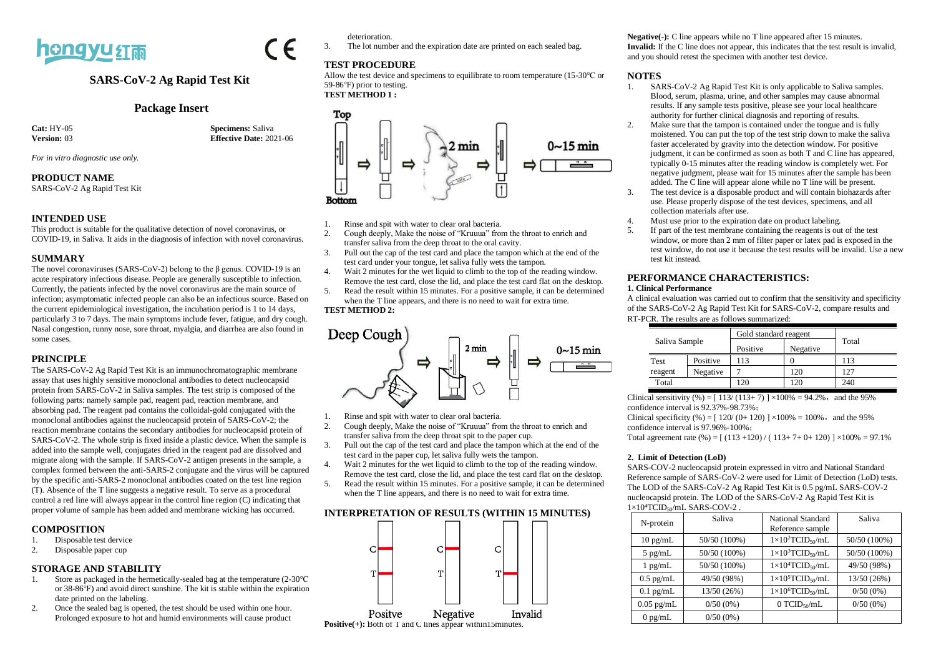

### **SARS-CoV-2 Ag Rapid Test Kit**

#### **Package Insert**

**Cat:** HY-05 **Specimens:** Saliva<br> **Version:** 03 **Effective Date:** 20 **Effective Date:** 2021-06

*For in vitro diagnostic use only.*

#### **PRODUCT NAME**

SARS-CoV-2 Ag Rapid Test Kit

#### **INTENDED USE**

This product is suitable for the qualitative detection of novel coronavirus, or COVID-19, in Saliva. It aids in the diagnosis of infection with novel coronavirus.

#### **SUMMARY**

The novel coronaviruses (SARS-CoV-2) belong to the β genus. COVID-19 is an acute respiratory infectious disease. People are generally susceptible to infection. Currently, the patients infected by the novel coronavirus are the main source of infection; asymptomatic infected people can also be an infectious source. Based on the current epidemiological investigation, the incubation period is 1 to 14 days, particularly 3 to 7 days. The main symptoms include fever, fatigue, and dry cough. Nasal congestion, runny nose, sore throat, myalgia, and diarrhea are also found in some cases.

#### **PRINCIPLE**

The SARS-CoV-2 Ag Rapid Test Kit is an immunochromatographic membrane assay that uses highly sensitive monoclonal antibodies to detect nucleocapsid protein from SARS-CoV-2 in Saliva samples. The test strip is composed of the following parts: namely sample pad, reagent pad, reaction membrane, and absorbing pad. The reagent pad contains the colloidal-gold conjugated with the monoclonal antibodies against the nucleocapsid protein of SARS-CoV-2; the reaction membrane contains the secondary antibodies for nucleocapsid protein of SARS-CoV-2. The whole strip is fixed inside a plastic device. When the sample is added into the sample well, conjugates dried in the reagent pad are dissolved and migrate along with the sample. If SARS-CoV-2 antigen presents in the sample, a complex formed between the anti-SARS-2 conjugate and the virus will be captured by the specific anti-SARS-2 monoclonal antibodies coated on the test line region (T). Absence of the T line suggests a negative result. To serve as a procedural control a red line will always appear in the control line region (C) indicating that proper volume of sample has been added and membrane wicking has occurred.

# **COMPOSITION**<br>1. Disposable test

- Disposable test dervice
- 2. Disposable paper cup

#### **STORAGE AND STABILITY**

- 1. Store as packaged in the hermetically-sealed bag at the temperature (2-30℃ or 38-86℉) and avoid direct sunshine. The kit is stable within the expiration date printed on the labeling.
- 2. Once the sealed bag is opened, the test should be used within one hour. Prolonged exposure to hot and humid environments will cause product

deterioration.

3. The lot number and the expiration date are printed on each sealed bag.

#### **TEST PROCEDURE**

Allow the test device and specimens to equilibrate to room temperature (15-30℃ or 59-86℉) prior to testing. **TEST METHOD 1 :**





- 1. Rinse and spit with water to clear oral bacteria.
- 2. Cough deeply, Make the noise of "Kruuua" from the throat to enrich and transfer saliva from the deep throat to the oral cavity.
- 3. Pull out the cap of the test card and place the tampon which at the end of the test card under your tongue, let saliva fully wets the tampon.
- 4. Wait 2 minutes for the wet liquid to climb to the top of the reading window. Remove the test card, close the lid, and place the test card flat on the desktop.
- 5. Read the result within 15 minutes. For a positive sample, it can be determined when the T line appears, and there is no need to wait for extra time. **TEST METHOD 2:**



- 1. Rinse and spit with water to clear oral bacteria.
- 2. Cough deeply, Make the noise of "Kruuua" from the throat to enrich and transfer saliva from the deep throat spit to the paper cup.
- 3. Pull out the cap of the test card and place the tampon which at the end of the test card in the paper cup, let saliva fully wets the tampon.
- 4. Wait 2 minutes for the wet liquid to climb to the top of the reading window. Remove the test card, close the lid, and place the test card flat on the desktop.
- 5. Read the result within 15 minutes. For a positive sample, it can be determined when the T line appears, and there is no need to wait for extra time.

#### **INTERPRETATION OF RESULTS (WITHIN 15 MINUTES)**



**Negative(-):** C line appears while no T line appeared after 15 minutes. **Invalid:** If the C line does not appear, this indicates that the test result is invalid, and you should retest the specimen with another test device.

#### **NOTES**

- 1. SARS-CoV-2 Ag Rapid Test Kit is only applicable to Saliva samples. Blood, serum, plasma, urine, and other samples may cause abnormal results. If any sample tests positive, please see your local healthcare authority for further clinical diagnosis and reporting of results.
- 2. Make sure that the tampon is contained under the tongue and is fully moistened. You can put the top of the test strip down to make the saliva faster accelerated by gravity into the detection window. For positive judgment, it can be confirmed as soon as both T and C line has appeared, typically 0-15 minutes after the reading window is completely wet. For negative judgment, please wait for 15 minutes after the sample has been added. The  $\tilde{C}$  line will appear alone while no T line will be present.
- 3. The test device is a disposable product and will contain biohazards after use. Please properly dispose of the test devices, specimens, and all collection materials after use.
- 4. Must use prior to the expiration date on product labeling.
- 5. If part of the test membrane containing the reagents is out of the test window, or more than 2 mm of filter paper or latex pad is exposed in the test window, do not use it because the test results will be invalid. Use a new test kit instead.

#### **PERFORMANCE CHARACTERISTICS: 1. Clinical Performance**

A clinical evaluation was carried out to confirm that the sensitivity and specificity of the SARS-CoV-2 Ag Rapid Test Kit for SARS-CoV-2, compare results and RT-PCR. The results are as follows summarized:

|  | Saliva Sample |          | Gold standard reagent |          |       |
|--|---------------|----------|-----------------------|----------|-------|
|  |               |          | Positive              | Negative | Total |
|  | Test          | Positive | 13                    |          | 113   |
|  | reagent       | Negative |                       | 120      | 127   |
|  | Total         |          | 20                    | 20       | 240   |

Clinical sensitivity (%) =  $[113/(113+7)] \times 100\% = 94.2\%$ , and the 95% confidence interval is 92.37%-98.73%;

Clinical specificity  $%$  = [ 120/ (0+ 120) ] ×100% = 100%, and the 95% confidence interval is 97.96%-100%;

Total agreement rate  $(\% ) = [ (113 +120) / ( 113 + 7 + 0 + 120) ] \times 100\% = 97.1\%$ 

#### **2. Limit of Detection (LoD)**

SARS-COV-2 nucleocapsid protein expressed in vitro and National Standard Reference sample of SARS-CoV-2 were used for Limit of Detection (LoD) tests. The LOD of the SARS-CoV-2 Ag Rapid Test Kit is 0.5 pg/mL SARS-COV-2 nucleocapsid protein. The LOD of the SARS-CoV-2 Ag Rapid Test Kit is  $1\times10^{4}$ TCID<sub>50</sub>/mL SARS-COV-2.

| N-protein    | Saliva       | <b>National Standard</b><br>Reference sample | Saliva       |
|--------------|--------------|----------------------------------------------|--------------|
| $10$ pg/mL   | 50/50 (100%) | $1\times10^{2}$ TCID <sub>50</sub> /mL       | 50/50 (100%) |
| $5$ pg/mL    | 50/50 (100%) | $1\times10^{3}$ TCID <sub>50</sub> /mL       | 50/50 (100%) |
| $1$ pg/mL    | 50/50 (100%) | $1\times10^4$ TCID <sub>50</sub> /mL         | 49/50 (98%)  |
| $0.5$ pg/mL  | 49/50 (98%)  | $1\times10^5$ TCID <sub>50</sub> /mL         | 13/50 (26%)  |
| $0.1$ pg/mL  | 13/50 (26%)  | $1\times10^{6}$ TCID <sub>50</sub> /mL       | $0/50(0\%)$  |
| $0.05$ pg/mL | $0/50(0\%)$  | $0$ TCID <sub>50</sub> /mL                   | $0/50(0\%)$  |
| $0$ pg/mL    | $0/50(0\%)$  |                                              |              |